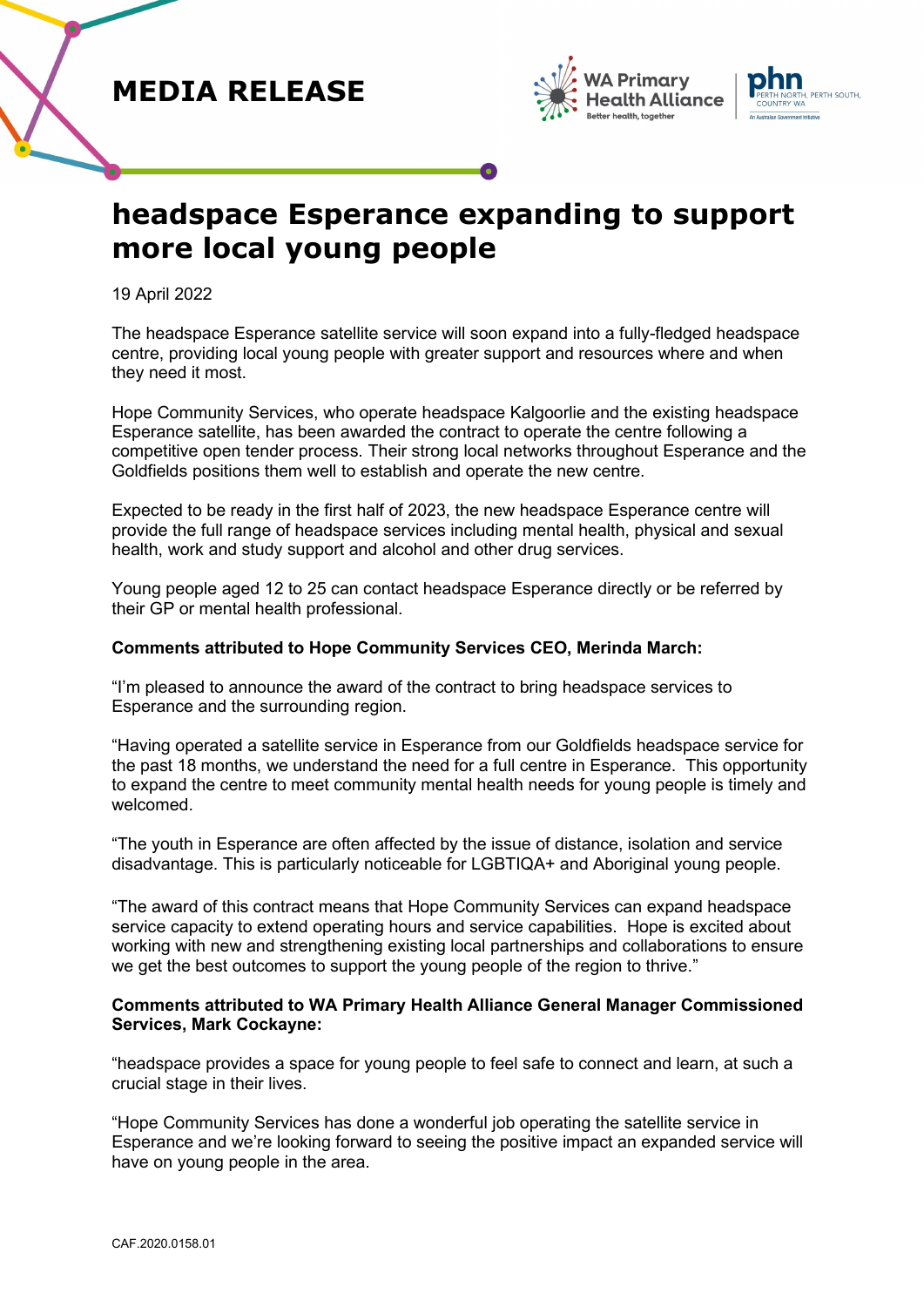## **MEDIA RELEASE**





# **headspace Esperance expanding to support more local young people**

19 April 2022

The headspace Esperance satellite service will soon expand into a fully-fledged headspace centre, providing local young people with greater support and resources where and when they need it most.

Hope Community Services, who operate headspace Kalgoorlie and the existing headspace Esperance satellite, has been awarded the contract to operate the centre following a competitive open tender process. Their strong local networks throughout Esperance and the Goldfields positions them well to establish and operate the new centre.

Expected to be ready in the first half of 2023, the new headspace Esperance centre will provide the full range of headspace services including mental health, physical and sexual health, work and study support and alcohol and other drug services.

Young people aged 12 to 25 can contact headspace Esperance directly or be referred by their GP or mental health professional.

### **Comments attributed to Hope Community Services CEO, Merinda March:**

"I'm pleased to announce the award of the contract to bring headspace services to Esperance and the surrounding region.

"Having operated a satellite service in Esperance from our Goldfields headspace service for the past 18 months, we understand the need for a full centre in Esperance. This opportunity to expand the centre to meet community mental health needs for young people is timely and welcomed.

"The youth in Esperance are often affected by the issue of distance, isolation and service disadvantage. This is particularly noticeable for LGBTIQA+ and Aboriginal young people.

"The award of this contract means that Hope Community Services can expand headspace service capacity to extend operating hours and service capabilities. Hope is excited about working with new and strengthening existing local partnerships and collaborations to ensure we get the best outcomes to support the young people of the region to thrive."

### **Comments attributed to WA Primary Health Alliance General Manager Commissioned Services, Mark Cockayne:**

"headspace provides a space for young people to feel safe to connect and learn, at such a crucial stage in their lives.

"Hope Community Services has done a wonderful job operating the satellite service in Esperance and we're looking forward to seeing the positive impact an expanded service will have on young people in the area.